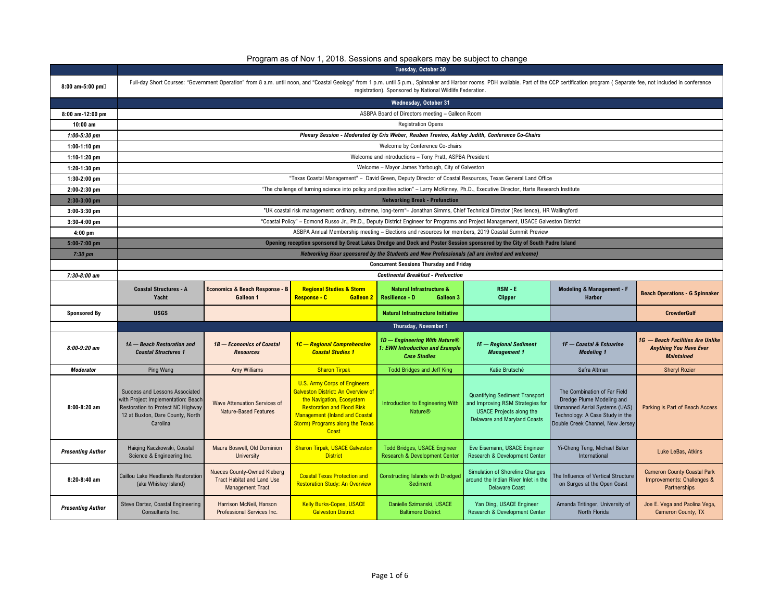| Program as of Nov 1, 2018. Sessions and speakers may be subject to change |  |  |  |
|---------------------------------------------------------------------------|--|--|--|
|---------------------------------------------------------------------------|--|--|--|

|                          | <b>Tuesday, October 30</b>                                                                                                                                |                                                                                             |                                                                                                                                                                                                                                                |                                                                                                                                          |                                                                                                                                              |                                                                                                                                                                                                                                |                                                                                        |  |  |  |  |
|--------------------------|-----------------------------------------------------------------------------------------------------------------------------------------------------------|---------------------------------------------------------------------------------------------|------------------------------------------------------------------------------------------------------------------------------------------------------------------------------------------------------------------------------------------------|------------------------------------------------------------------------------------------------------------------------------------------|----------------------------------------------------------------------------------------------------------------------------------------------|--------------------------------------------------------------------------------------------------------------------------------------------------------------------------------------------------------------------------------|----------------------------------------------------------------------------------------|--|--|--|--|
| 8:00 am-5:00 pm          |                                                                                                                                                           |                                                                                             |                                                                                                                                                                                                                                                | registration). Sponsored by National Wildlife Federation.                                                                                |                                                                                                                                              | Full-day Short Courses: "Government Operation" from 8 a.m. until noon, and "Coastal Geology" from 1 p.m. until 5 p.m., Spinnaker and Harbor rooms. PDH available. Part of the CCP certification program (Separate fee, not inc |                                                                                        |  |  |  |  |
|                          |                                                                                                                                                           | <b>Wednesday, October 31</b>                                                                |                                                                                                                                                                                                                                                |                                                                                                                                          |                                                                                                                                              |                                                                                                                                                                                                                                |                                                                                        |  |  |  |  |
| 8:00 am-12:00 pm         |                                                                                                                                                           |                                                                                             |                                                                                                                                                                                                                                                | ASBPA Board of Directors meeting - Galleon Room                                                                                          |                                                                                                                                              |                                                                                                                                                                                                                                |                                                                                        |  |  |  |  |
| $10:00$ am               |                                                                                                                                                           |                                                                                             |                                                                                                                                                                                                                                                | <b>Registration Opens</b>                                                                                                                |                                                                                                                                              |                                                                                                                                                                                                                                |                                                                                        |  |  |  |  |
| $1:00 - 5:30$ pm         |                                                                                                                                                           |                                                                                             |                                                                                                                                                                                                                                                | Plenary Session - Moderated by Cris Weber, Reuben Trevino, Ashley Judith, Conference Co-Chairs                                           |                                                                                                                                              |                                                                                                                                                                                                                                |                                                                                        |  |  |  |  |
| $1:00-1:10$ pm           |                                                                                                                                                           |                                                                                             |                                                                                                                                                                                                                                                | Welcome by Conference Co-chairs                                                                                                          |                                                                                                                                              |                                                                                                                                                                                                                                |                                                                                        |  |  |  |  |
| $1:10-1:20$ pm           |                                                                                                                                                           |                                                                                             |                                                                                                                                                                                                                                                | Welcome and introductions - Tony Pratt, ASPBA President                                                                                  |                                                                                                                                              |                                                                                                                                                                                                                                |                                                                                        |  |  |  |  |
| $1:20-1:30$ pm           |                                                                                                                                                           |                                                                                             |                                                                                                                                                                                                                                                | Welcome - Mayor James Yarbough, City of Galveston                                                                                        |                                                                                                                                              |                                                                                                                                                                                                                                |                                                                                        |  |  |  |  |
| $1:30-2:00$ pm           |                                                                                                                                                           |                                                                                             |                                                                                                                                                                                                                                                | "Texas Coastal Management" - David Green, Deputy Director of Coastal Resources, Texas General Land Office                                |                                                                                                                                              |                                                                                                                                                                                                                                |                                                                                        |  |  |  |  |
| 2:00-2:30 pm             |                                                                                                                                                           |                                                                                             |                                                                                                                                                                                                                                                | "The challenge of turning science into policy and positive action" - Larry McKinney, Ph.D., Executive Director, Harte Research Institute |                                                                                                                                              |                                                                                                                                                                                                                                |                                                                                        |  |  |  |  |
| $2:30-3:00$ pm           |                                                                                                                                                           |                                                                                             |                                                                                                                                                                                                                                                | <b>Networking Break - Prefunction</b>                                                                                                    |                                                                                                                                              |                                                                                                                                                                                                                                |                                                                                        |  |  |  |  |
| $3:00-3:30$ pm           |                                                                                                                                                           |                                                                                             |                                                                                                                                                                                                                                                | "UK coastal risk management: ordinary, extreme, long-term"- Jonathan Simms, Chief Technical Director (Resilience), HR Wallingford        |                                                                                                                                              |                                                                                                                                                                                                                                |                                                                                        |  |  |  |  |
| $3:30-4:00$ pm           |                                                                                                                                                           |                                                                                             |                                                                                                                                                                                                                                                | "Coastal Policy" - Edmond Russo Jr., Ph.D., Deputy District Engineer for Programs and Project Management, USACE Galveston District       |                                                                                                                                              |                                                                                                                                                                                                                                |                                                                                        |  |  |  |  |
| $4:00$ pm                |                                                                                                                                                           |                                                                                             |                                                                                                                                                                                                                                                | ASBPA Annual Membership meeting - Elections and resources for members, 2019 Coastal Summit Preview                                       |                                                                                                                                              |                                                                                                                                                                                                                                |                                                                                        |  |  |  |  |
| 5:00-7:00 pm             |                                                                                                                                                           |                                                                                             |                                                                                                                                                                                                                                                | Opening reception sponsored by Great Lakes Dredge and Dock and Poster Session sponsored by the City of South Padre Island                |                                                                                                                                              |                                                                                                                                                                                                                                |                                                                                        |  |  |  |  |
| $7:30~\text{pm}$         |                                                                                                                                                           |                                                                                             |                                                                                                                                                                                                                                                | Networking Hour sponsored by the Students and New Professionals (all are invited and welcome)                                            |                                                                                                                                              |                                                                                                                                                                                                                                |                                                                                        |  |  |  |  |
|                          |                                                                                                                                                           |                                                                                             |                                                                                                                                                                                                                                                | <b>Concurrent Sessions Thursday and Friday</b>                                                                                           |                                                                                                                                              |                                                                                                                                                                                                                                |                                                                                        |  |  |  |  |
| 7:30-8:00 am             |                                                                                                                                                           |                                                                                             |                                                                                                                                                                                                                                                | <b>Continental Breakfast - Prefunction</b>                                                                                               |                                                                                                                                              |                                                                                                                                                                                                                                |                                                                                        |  |  |  |  |
|                          | <b>Coastal Structures - A</b><br>Yacht                                                                                                                    | <b>Economics &amp; Beach Response - B</b><br>Galleon 1                                      | <b>Regional Studies &amp; Storm</b><br>Response - C<br><b>Galleon 2</b>                                                                                                                                                                        | <b>Natural Infrastructure &amp;</b><br><b>Resilience - D</b><br><b>Galleon 3</b>                                                         | RSM - E<br><b>Clipper</b>                                                                                                                    | Modeling & Management - F<br><b>Harbor</b>                                                                                                                                                                                     | <b>Beach Operations - G Spinnaker</b>                                                  |  |  |  |  |
| <b>Sponsored By</b>      | <b>USGS</b>                                                                                                                                               |                                                                                             |                                                                                                                                                                                                                                                | <b>Natural Infrastructure Initiative</b>                                                                                                 |                                                                                                                                              |                                                                                                                                                                                                                                | <b>CrowderGulf</b>                                                                     |  |  |  |  |
|                          |                                                                                                                                                           |                                                                                             |                                                                                                                                                                                                                                                | Thursday, November 1                                                                                                                     |                                                                                                                                              |                                                                                                                                                                                                                                |                                                                                        |  |  |  |  |
| $8:00-9:20$ am           | 1A - Beach Restoration and<br><b>Coastal Structures 1</b>                                                                                                 | 1B - Economics of Coastal<br><b>Resources</b>                                               | 1C - Regional Comprehensive<br><b>Coastal Studies 1</b>                                                                                                                                                                                        | 1D - Engineering With Nature®<br>1: EWN Introduction and Example<br><b>Case Studies</b>                                                  | 1E - Regional Sediment<br><b>Management 1</b>                                                                                                | 1F - Coastal & Estuarine<br><b>Modeling 1</b>                                                                                                                                                                                  | 1G - Beach Facilities Are Unlike<br><b>Anything You Have Ever</b><br><b>Maintained</b> |  |  |  |  |
| <b>Moderator</b>         | Ping Wang                                                                                                                                                 | <b>Amy Williams</b>                                                                         | <b>Sharon Tirpak</b>                                                                                                                                                                                                                           | <b>Todd Bridges and Jeff King</b>                                                                                                        | Katie Brutsché                                                                                                                               | Safra Altman                                                                                                                                                                                                                   | <b>Sheryl Rozier</b>                                                                   |  |  |  |  |
| $8:00-8:20$ am           | Success and Lessons Associated<br>with Project Implementation: Beach<br>Restoration to Protect NC Highway<br>12 at Buxton, Dare County, North<br>Carolina | <b>Wave Attenuation Services of</b><br>Nature-Based Features                                | <b>U.S. Army Corps of Engineers</b><br><b>Galveston District: An Overview of</b><br>the Navigation, Ecosystem<br><b>Restoration and Flood Risk</b><br><b>Management (Inland and Coastal</b><br><b>Storm) Programs along the Texas</b><br>Coast | Introduction to Engineering With<br><b>Nature®</b>                                                                                       | <b>Quantifying Sediment Transport</b><br>and Improving RSM Strategies for<br><b>USACE Projects along the</b><br>Delaware and Maryland Coasts | The Combination of Far Field<br>Dredge Plume Modeling and<br><b>Unmanned Aerial Systems (UAS)</b><br>Technology: A Case Study in the<br>Double Creek Channel, New Jersey                                                       | Parking is Part of Beach Access                                                        |  |  |  |  |
| <b>Presenting Author</b> | Haiqing Kaczkowski, Coastal<br>Science & Engineering Inc.                                                                                                 | Maura Boswell, Old Dominion<br>University                                                   | <b>Sharon Tirpak, USACE Galveston</b><br><b>District</b>                                                                                                                                                                                       | <b>Todd Bridges, USACE Engineer</b><br>Research & Development Center                                                                     | Eve Eisemann, USACE Engineer<br>Research & Development Center                                                                                | Yi-Cheng Teng, Michael Baker<br>International                                                                                                                                                                                  | Luke LeBas, Atkins                                                                     |  |  |  |  |
| $8:20-8:40$ am           | Caillou Lake Headlands Restoration<br>(aka Whiskey Island)                                                                                                | Nueces County-Owned Kleberg<br><b>Tract Habitat and Land Use</b><br><b>Management Tract</b> | <b>Coastal Texas Protection and</b><br><b>Restoration Study: An Overview</b>                                                                                                                                                                   | <b>Constructing Islands with Dredged</b><br>Sediment                                                                                     | Simulation of Shoreline Changes<br>around the Indian River Inlet in the<br><b>Delaware Coast</b>                                             | The Influence of Vertical Structure<br>on Surges at the Open Coast                                                                                                                                                             | <b>Cameron County Coastal Park</b><br>Improvements: Challenges &<br>Partnerships       |  |  |  |  |
| <b>Presenting Author</b> | Steve Dartez, Coastal Engineering<br>Consultants Inc.                                                                                                     | Harrison McNeil, Hanson<br>Professional Services Inc.                                       | <b>Kelly Burks-Copes, USACE</b><br><b>Galveston District</b>                                                                                                                                                                                   | Danielle Szimanski, USACE<br><b>Baltimore District</b>                                                                                   | Yan Ding, USACE Engineer<br>Research & Development Center                                                                                    | Amanda Tritinger, University of<br>North Florida                                                                                                                                                                               | Joe E. Vega and Paolina Vega,<br><b>Cameron County, TX</b>                             |  |  |  |  |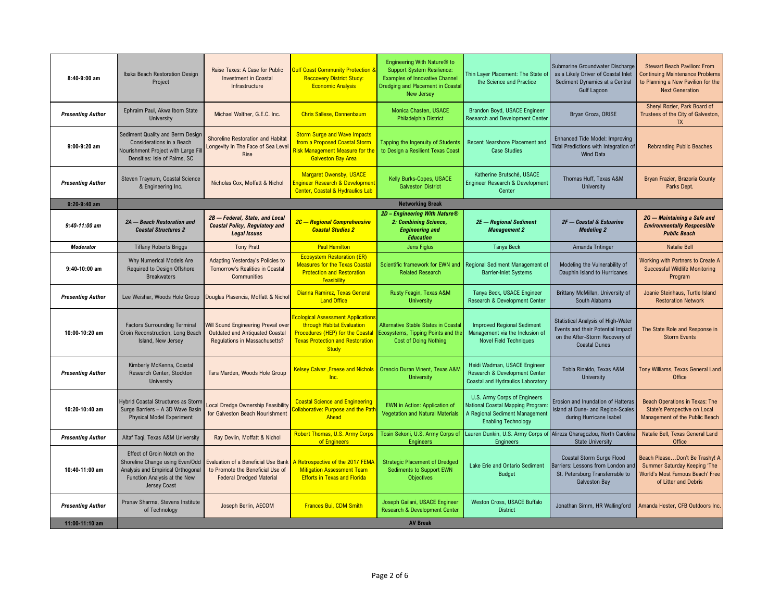| 8:40-9:00 am             | Ibaka Beach Restoration Design<br>Project                                                                                                            | Raise Taxes: A Case for Public<br><b>Investment in Coastal</b><br>Infrastructure                                      | <b>Bulf Coast Community Protection &amp;</b><br><b>Reccovery District Study:</b><br><b>Economic Analysis</b>                                                                 | Engineering With Nature <sup>®</sup> to<br><b>Support System Resilience:</b><br><b>Examples of Innovative Channel</b><br>Dredging and Placement in Coastal<br>New Jersey | Thin Layer Placement: The State of<br>the Science and Practice                                                                   | Submarine Groundwater Discharge<br>as a Likely Driver of Coastal Inlet<br>Sediment Dynamics at a Central<br>Gulf Lagoon                  | <b>Stewart Beach Pavilion: From</b><br><b>Continuing Maintenance Problems</b><br>to Planning a New Pavilion for the<br><b>Next Generation</b> |
|--------------------------|------------------------------------------------------------------------------------------------------------------------------------------------------|-----------------------------------------------------------------------------------------------------------------------|------------------------------------------------------------------------------------------------------------------------------------------------------------------------------|--------------------------------------------------------------------------------------------------------------------------------------------------------------------------|----------------------------------------------------------------------------------------------------------------------------------|------------------------------------------------------------------------------------------------------------------------------------------|-----------------------------------------------------------------------------------------------------------------------------------------------|
| <b>Presenting Author</b> | Ephraim Paul, Akwa Ibom State<br>University                                                                                                          | Michael Walther, G.E.C. Inc.                                                                                          | <b>Chris Sallese, Dannenbaum</b>                                                                                                                                             | Monica Chasten, USACE<br>Philadelphia District                                                                                                                           | Brandon Boyd, USACE Engineer<br><b>Research and Development Center</b>                                                           | Bryan Groza, ORISE                                                                                                                       | Sheryl Rozier, Park Board of<br>Trustees of the City of Galveston,<br><b>TX</b>                                                               |
| $9:00-9:20$ am           | Sediment Quality and Berm Design<br>Considerations in a Beach<br>Nourishment Project with Large Fill<br>Densities: Isle of Palms, SC                 | Shoreline Restoration and Habitat<br>Longevity In The Face of Sea Leve<br><b>Rise</b>                                 | <b>Storm Surge and Wave Impacts</b><br>from a Proposed Coastal Storm<br>Risk Management Measure for the<br><b>Galveston Bay Area</b>                                         | Tapping the Ingenuity of Students<br>to Design a Resilient Texas Coast                                                                                                   | Recent Nearshore Placement and<br><b>Case Studies</b>                                                                            | <b>Enhanced Tide Model: Improving</b><br>Tidal Predictions with Integration of<br>Wind Data                                              | <b>Rebranding Public Beaches</b>                                                                                                              |
| <b>Presenting Author</b> | Steven Traynum, Coastal Science<br>& Engineering Inc.                                                                                                | Nicholas Cox, Moffatt & Nichol                                                                                        | <b>Margaret Owensby, USACE</b><br>nqineer Research & Development<br><b>Center, Coastal &amp; Hydraulics Lab</b>                                                              | Kelly Burks-Copes, USACE<br><b>Galveston District</b>                                                                                                                    | Katherine Brutsché, USACE<br>Engineer Research & Development<br>Center                                                           | Thomas Huff, Texas A&M<br>University                                                                                                     | Bryan Frazier, Brazoria County<br>Parks Dept.                                                                                                 |
| $9:20-9:40$ am           |                                                                                                                                                      |                                                                                                                       |                                                                                                                                                                              | <b>Networking Break</b>                                                                                                                                                  |                                                                                                                                  |                                                                                                                                          |                                                                                                                                               |
| $9:40-11:00$ am          | 2A - Beach Restoration and<br><b>Coastal Structures 2</b>                                                                                            | 2B - Federal, State, and Local<br><b>Coastal Policy, Regulatory and</b><br><b>Legal Issues</b>                        | 2C - Regional Comprehensive<br><b>Coastal Studies 2</b>                                                                                                                      | 2D - Engineering With Nature®<br>2: Combining Science.<br><b>Engineering and</b><br><b>Education</b>                                                                     | 2E - Regional Sediment<br><b>Management 2</b>                                                                                    | 2F - Coastal & Estuarine<br><b>Modeling 2</b>                                                                                            | 2G - Maintaining a Safe and<br><b>Environmentally Responsible</b><br><b>Public Beach</b>                                                      |
| <b>Moderator</b>         | <b>Tiffany Roberts Briggs</b>                                                                                                                        | <b>Tony Pratt</b>                                                                                                     | <b>Paul Hamilton</b>                                                                                                                                                         | <b>Jens Figlus</b>                                                                                                                                                       | <b>Tanya Beck</b>                                                                                                                | Amanda Tritinger                                                                                                                         | <b>Natalie Bell</b>                                                                                                                           |
| $9:40-10:00$ am          | Why Numerical Models Are<br>Required to Design Offshore<br><b>Breakwaters</b>                                                                        | Adapting Yesterday's Policies to<br>Tomorrow's Realities in Coastal<br>Communities                                    | <b>Ecosystem Restoration (ER)</b><br><b>Measures for the Texas Coastal</b><br><b>Protection and Restoration</b><br>Feasibility                                               | Scientific framework for EWN and<br><b>Related Research</b>                                                                                                              | Regional Sediment Management of<br><b>Barrier-Inlet Systems</b>                                                                  | Modeling the Vulnerability of<br>Dauphin Island to Hurricanes                                                                            | Working with Partners to Create A<br><b>Successful Wildlife Monitoring</b><br>Program                                                         |
| <b>Presenting Author</b> | Lee Weishar, Woods Hole Group                                                                                                                        | Douglas Plasencia, Moffatt & Nicho                                                                                    | Dianna Ramirez, Texas General<br><b>Land Office</b>                                                                                                                          | Rusty Feagin, Texas A&M<br><b>University</b>                                                                                                                             | Tanya Beck, USACE Engineer<br>Research & Development Center                                                                      | Brittany McMillan, University of<br>South Alabama                                                                                        | Joanie Steinhaus, Turtle Island<br><b>Restoration Network</b>                                                                                 |
| 10:00-10:20 am           | <b>Factors Surrounding Terminal</b><br>Groin Reconstruction, Long Beach<br>Island, New Jersey                                                        | <b>Will Sound Engineering Prevail over</b><br><b>Outdated and Antiquated Coastal</b><br>Regulations in Massachusetts? | <b>cological Assessment Applications</b><br>through Habitat Evaluation<br><b>Procedures (HEP) for the Coastal</b><br><b>Texas Protection and Restoration</b><br><b>Study</b> | Alternative Stable States in Coastal<br>Ecosystems, Tipping Points and the<br><b>Cost of Doing Nothing</b>                                                               | <b>Improved Regional Sediment</b><br>Management via the Inclusion of<br><b>Novel Field Techniques</b>                            | <b>Statistical Analysis of High-Water</b><br>Events and their Potential Impact<br>on the After-Storm Recovery of<br><b>Coastal Dunes</b> | The State Role and Response in<br><b>Storm Events</b>                                                                                         |
| <b>Presenting Author</b> | Kimberly McKenna, Coastal<br>Research Center, Stockton<br>University                                                                                 | Tara Marden, Woods Hole Group                                                                                         | <b>Kelsey Calvez , Freese and Nichols</b><br>Inc.                                                                                                                            | Orencio Duran Vinent, Texas A&N<br><b>University</b>                                                                                                                     | Heidi Wadman, USACE Engineer<br>Research & Development Center<br><b>Coastal and Hydraulics Laboratory</b>                        | Tobia Rinaldo, Texas A&M<br>University                                                                                                   | Tony Williams, Texas General Land<br>Office                                                                                                   |
| 10:20-10:40 am           | Hybrid Coastal Structures as Storm<br>Surge Barriers - A 3D Wave Basin<br><b>Physical Model Experiment</b>                                           | Local Dredge Ownership Feasibility<br>for Galveston Beach Nourishment                                                 | <b>Coastal Science and Engineering</b><br>ollaborative: Purpose and the Path<br>Ahead                                                                                        | <b>EWN</b> in Action: Application of<br><b>Vegetation and Natural Materials</b>                                                                                          | U.S. Army Corps of Engineers<br>National Coastal Mapping Program<br>A Regional Sediment Management<br><b>Enabling Technology</b> | Erosion and Inundation of Hatteras<br>Island at Dune- and Region-Scales<br>during Hurricane Isabel                                       | Beach Operations in Texas: The<br><b>State's Perspective on Local</b><br>Management of the Public Beach                                       |
| <b>Presenting Author</b> | Altaf Tagi, Texas A&M University                                                                                                                     | Ray Devlin, Moffatt & Nichol                                                                                          | Robert Thomas, U.S. Army Corps<br>of Engineers                                                                                                                               | Tosin Sekoni, U.S. Army Corps of<br><b>Engineers</b>                                                                                                                     | <b>Engineers</b>                                                                                                                 | Lauren Dunkin, U.S. Army Corps of Alireza Gharagozlou, North Carolina<br><b>State University</b>                                         | Natalie Bell, Texas General Land<br>Office                                                                                                    |
| 10:40-11:00 am           | Effect of Groin Notch on the<br>Shoreline Change using Even/Odd<br>Analysis and Empirical Orthogonal<br>Function Analysis at the New<br>Jersey Coast | Evaluation of a Beneficial Use Bank<br>to Promote the Beneficial Use of<br><b>Federal Dredged Material</b>            | Retrospective of the 2017 FEMA<br><b>Mitigation Assessment Team</b><br><b>Efforts in Texas and Florida</b>                                                                   | <b>Strategic Placement of Dredged</b><br><b>Sediments to Support EWN</b><br><b>Objectives</b>                                                                            | Lake Erie and Ontario Sediment<br><b>Budget</b>                                                                                  | Coastal Storm Surge Flood<br>Barriers: Lessons from London and<br>St. Petersburg Transferrable to<br>Galveston Bay                       | Beach PleaseDon't Be Trashy! A<br>Summer Saturday Keeping 'The<br>World's Most Famous Beach' Free<br>of Litter and Debris                     |
|                          |                                                                                                                                                      |                                                                                                                       |                                                                                                                                                                              | Joseph Gailani, USACE Engineer                                                                                                                                           | Weston Cross, USACE Buffalo                                                                                                      |                                                                                                                                          |                                                                                                                                               |
| <b>Presenting Author</b> | Pranav Sharma, Stevens Institute<br>of Technology                                                                                                    | Joseph Berlin, AECOM                                                                                                  | <b>Frances Bui, CDM Smith</b>                                                                                                                                                | Research & Development Center                                                                                                                                            | <b>District</b>                                                                                                                  | Jonathan Simm, HR Wallingford                                                                                                            | Amanda Hester, CFB Outdoors Inc.                                                                                                              |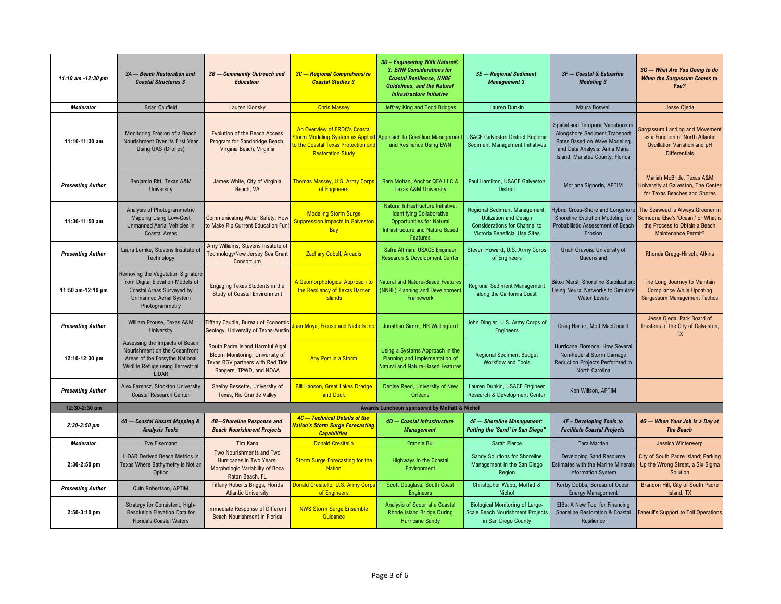| 11:10 am -12:30 pm       | 3A - Beach Restoration and<br><b>Coastal Structures 3</b>                                                                                             | 3B - Community Outreach and<br><b>Education</b>                                                                                           | 3C - Regional Comprehensive<br><b>Coastal Studies 3</b>                                         | 3D - Engineering With Nature®<br>3: EWN Considerations for<br><b>Coastal Resilience, NNBF</b><br><b>Guidelines, and the Natural</b><br><b>Infrastructure Initiative</b> | 3E - Regional Sediment<br><b>Management 3</b>                                                                                           | 3F - Coastal & Estuarine<br><b>Modeling 3</b>                                                                                                                           | 3G - What Are You Going to do<br><b>When the Sargassum Comes to</b><br>You?                                                           |
|--------------------------|-------------------------------------------------------------------------------------------------------------------------------------------------------|-------------------------------------------------------------------------------------------------------------------------------------------|-------------------------------------------------------------------------------------------------|-------------------------------------------------------------------------------------------------------------------------------------------------------------------------|-----------------------------------------------------------------------------------------------------------------------------------------|-------------------------------------------------------------------------------------------------------------------------------------------------------------------------|---------------------------------------------------------------------------------------------------------------------------------------|
| <b>Moderator</b>         | <b>Brian Caufield</b>                                                                                                                                 | Lauren Klonsky                                                                                                                            | <b>Chris Massey</b>                                                                             | Jeffrey King and Todd Bridges                                                                                                                                           | <b>Lauren Dunkin</b>                                                                                                                    | Maura Boswell                                                                                                                                                           | Jesse Ojeda                                                                                                                           |
| 11:10-11:30 am           | Monitoring Erosion of a Beach<br>Nourishment Over its First Year<br>Using UAS (Drones)                                                                | <b>Evolution of the Beach Access</b><br>Program for Sandbridge Beach,<br>Virginia Beach, Virginia                                         | An Overview of ERDC's Coastal<br>o the Coastal Texas Protection and<br><b>Restoration Study</b> | torm Modeling System as Applied Approach to Coastline Managemer<br>and Resilience Using EWN                                                                             | <b>USACE Galveston District Regional</b><br><b>Sediment Management Initiatives</b>                                                      | Spatial and Temporal Variations in<br>Alongshore Sediment Transport<br>Rates Based on Wave Modeling<br>and Data Analysis: Anna Maria<br>Island, Manatee County, Florida | argassum Landing and Movement<br>as a Function of North Atlantic<br>Oscillation Variation and pH<br><b>Differentials</b>              |
| <b>Presenting Author</b> | Benjamin Ritt, Texas A&M<br>University                                                                                                                | James White, City of Virginia<br>Beach, VA                                                                                                | <b>Thomas Massey, U.S. Army Corps</b><br>of Engineers                                           | Ram Mohan, Anchor QEA LLC &<br><b>Texas A&amp;M University</b>                                                                                                          | Paul Hamilton, USACE Galveston<br><b>District</b>                                                                                       | Morjana Signorin, APTIM                                                                                                                                                 | Mariah McBride, Texas A&M<br><b>Iniversity at Galveston, The Center</b><br>for Texas Beaches and Shores                               |
| 11:30-11:50 am           | Analysis of Photogrammetric<br>Mapping Using Low-Cost<br><b>Unmanned Aerial Vehicles in</b><br><b>Coastal Areas</b>                                   | <b>Communicating Water Safety: How</b><br>to Make Rip Current Education Fun                                                               | <b>Modeling Storm Surge</b><br>uppression Impacts in Galveston<br>Bay                           | Natural Infrastructure Initiative:<br><b>Identifying Collaborative</b><br><b>Opportunities for Natural</b><br><b>Infrastructure and Nature Based</b><br>Features        | Regional Sediment Management:<br><b>Utilization and Design</b><br><b>Considerations for Channel to</b><br>Victoria Beneficial Use Sites | Hybrid Cross-Shore and Longshore<br>Shoreline Evolution Modeling for<br>Probabilistic Assessment of Beach<br>Erosion                                                    | The Seaweed is Always Greener in<br>Someone Else's 'Ocean,' or What is<br>the Process to Obtain a Beach<br><b>Maintenance Permit?</b> |
| <b>Presenting Author</b> | Laura Lemke, Stevens Institute of<br>Technology                                                                                                       | Amy Williams, Stevens Institute of<br>Technology/New Jersey Sea Grant<br>Consortium                                                       | <b>Zachary Cobell, Arcadis</b>                                                                  | Safra Altman, USACE Engineer<br>Research & Development Center                                                                                                           | Steven Howard, U.S. Army Corps<br>of Engineers                                                                                          | Uriah Gravois, University of<br>Queensland                                                                                                                              | Rhonda Gregg-Hirsch, Atkins                                                                                                           |
| 11:50 am-12:10 pm        | Removing the Vegetation Signature<br>from Digital Elevation Models of<br>Coastal Areas Surveyed by<br><b>Unmanned Aerial System</b><br>Photogrammetry | Engaging Texas Students in the<br><b>Study of Coastal Environment</b>                                                                     | A Geomorphological Approach to<br>the Resiliency of Texas Barrier<br><b>Islands</b>             | Natural and Nature-Based Features<br>(NNBF) Planning and Development<br>Framework                                                                                       | <b>Regional Sediment Management</b><br>along the California Coast                                                                       | <b>Biloxi Marsh Shoreline Stabilization</b><br>Using Neural Networks to Simulate<br><b>Water Levels</b>                                                                 | The Long Journey to Maintain<br><b>Compliance While Updating</b><br>Sargassum Management Tactics                                      |
| <b>Presenting Author</b> | William Prouse, Texas A&M<br>University                                                                                                               | <b>Fiffany Caudle, Bureau of Economic</b><br>Geology, University of Texas-Austin                                                          | uan Moya, Freese and Nichols Inc.                                                               | Jonathan Simm, HR Wallingford                                                                                                                                           | John Dingler, U.S. Army Corps of<br><b>Engineers</b>                                                                                    | Craig Harter, Mott MacDonald                                                                                                                                            | Jesse Ojeda, Park Board of<br>Trustees of the City of Galveston,<br><b>TX</b>                                                         |
| 12:10-12:30 pm           | Assessing the Impacts of Beach<br>Nourishment on the Oceanfront<br>Areas of the Forsythe National<br>Wildlife Refuge using Terrestrial<br>LiDAR       | South Padre Island Harmful Algal<br>Bloom Monitoring: University of<br><b>Fexas RGV partners with Red Tide</b><br>Rangers, TPWD, and NOAA | Any Port in a Storm                                                                             | Using a Systems Approach in the<br>Planning and Implementation of<br>Natural and Nature-Based Features                                                                  | <b>Regional Sediment Budget</b><br><b>Workflow and Tools</b>                                                                            | Hurricane Florence: How Several<br>Non-Federal Storm Damage<br>Reduction Projects Performed in<br>North Carolina                                                        |                                                                                                                                       |
| <b>Presenting Author</b> | Alex Ferencz, Stockton University<br><b>Coastal Research Center</b>                                                                                   | Shelby Bessette, University of<br>Texas, Rio Grande Valley                                                                                | <b>Bill Hanson, Great Lakes Dredge</b><br>and Dock                                              | Denise Reed, University of New<br>Orleans                                                                                                                               | Lauren Dunkin, USACE Engineer<br>Research & Development Center                                                                          | Ken Willson, APTIM                                                                                                                                                      |                                                                                                                                       |
| 12:30-2:30 pm            |                                                                                                                                                       |                                                                                                                                           |                                                                                                 | Awards Luncheon sponsored by Moffatt & Nichol                                                                                                                           |                                                                                                                                         |                                                                                                                                                                         |                                                                                                                                       |
| $2:30-3:50$ pm           | 4A - Coastal Hazard Mapping &<br><b>Analysis Tools</b>                                                                                                | 4B-Shoreline Response and<br><b>Beach Nourishment Projects</b>                                                                            | 4C - Technical Details of the<br><b>lation's Storm Surge Forecasting</b><br><b>Capabilities</b> | 4D - Coastal Infrastructure<br><b>Management</b>                                                                                                                        | 4E - Shoreline Management:<br>Putting the 'Sand' in San Diego'                                                                          | 4F - Developing Tools to<br><b>Facilitate Coastal Projects</b>                                                                                                          | 4G - When Your Job Is a Day at<br><b>The Beach</b>                                                                                    |
| <b>Moderator</b>         | Eve Eisemann                                                                                                                                          | Tim Kana                                                                                                                                  | <b>Donald Cresitello</b>                                                                        | Frannie Bui                                                                                                                                                             | Sarah Pierce                                                                                                                            | <b>Tara Marden</b>                                                                                                                                                      | Jessica Winterwerp                                                                                                                    |
| 2:30-2:50 pm             | <b>LiDAR Derived Beach Metrics in</b><br>Texas Where Bathymetry is Not an<br>Option                                                                   | Two Nourishments and Two<br>Hurricanes in Two Years:<br>Morphologic Variability of Boca<br>Raton Beach, FL                                | <b>Storm Surge Forecasting for the</b><br><b>Nation</b>                                         | <b>Highways in the Coastal</b><br>Environment                                                                                                                           | Sandy Solutions for Shoreline<br>Management in the San Diego<br>Region                                                                  | <b>Developing Sand Resource</b><br>Estimates with the Marine Minerals<br><b>Information System</b>                                                                      | City of South Padre Island; Parking<br>Up the Wrong Street, a Six Sigma<br>Solution                                                   |
| <b>Presenting Author</b> | Quin Robertson, APTIM                                                                                                                                 | Tiffany Roberts Briggs, Florida<br><b>Atlantic University</b>                                                                             | Donald Cresitello, U.S. Army Corps<br>of Engineers                                              | <b>Scott Douglass, South Coast</b><br><b>Engineers</b>                                                                                                                  | Christopher Webb, Moffatt &<br>Nichol                                                                                                   | Kerby Dobbs, Bureau of Ocean<br><b>Energy Management</b>                                                                                                                | Brandon Hill, City of South Padre<br>Island, TX                                                                                       |
| 2:50-3:10 pm             | Strategy for Consistent, High-<br>Resolution Elevation Data for<br><b>Florida's Coastal Waters</b>                                                    | Immediate Response of Different<br>Beach Nourishment in Florida                                                                           | <b>NWS Storm Surge Ensemble</b><br>Guidance                                                     | Analysis of Scour at a Coastal<br><b>Rhode Island Bridge During</b><br><b>Hurricane Sandy</b>                                                                           | <b>Biological Monitoring of Large-</b><br>Scale Beach Nourishment Projects<br>in San Diego County                                       | EIBs: A New Tool for Financing<br>Shoreline Restoration & Coastal<br>Resilience                                                                                         | aneuil's Support to Toll Operations                                                                                                   |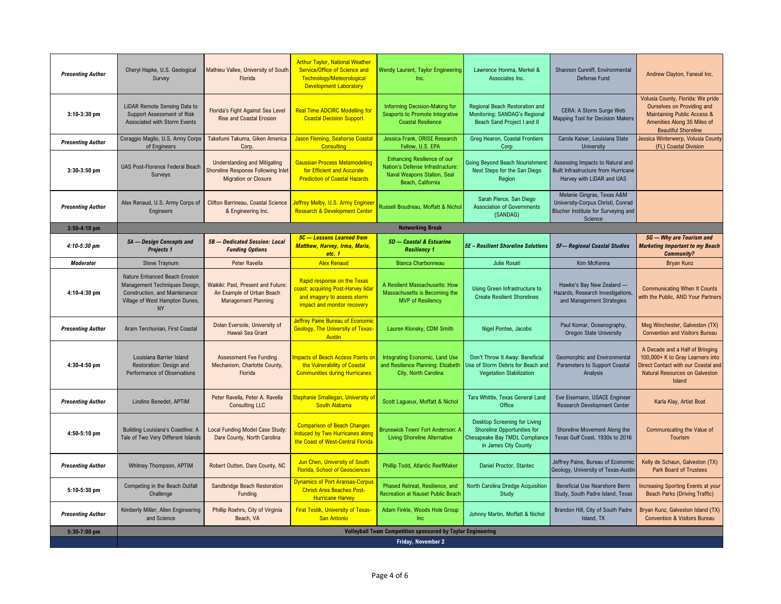| <b>Presenting Author</b> | Cheryl Hapke, U.S. Geological<br>Survey                                                                                                         | Mathieu Vallee, University of South<br>Florida                                                           | <b>Arthur Taylor, National Weather</b><br>Service/Office of Science and<br>Technology/Meteorological<br><b>Development Laboratory</b> | Wendy Laurent, Taylor Engineering<br>Inc.                                                                                  | Lawrence Honma, Merkel &<br>Associates Inc.                                                                           | Shannon Cunniff, Environmental<br>Defense Fund                                                                    | Andrew Clayton, Faneuil Inc.                                                                                                                                  |  |
|--------------------------|-------------------------------------------------------------------------------------------------------------------------------------------------|----------------------------------------------------------------------------------------------------------|---------------------------------------------------------------------------------------------------------------------------------------|----------------------------------------------------------------------------------------------------------------------------|-----------------------------------------------------------------------------------------------------------------------|-------------------------------------------------------------------------------------------------------------------|---------------------------------------------------------------------------------------------------------------------------------------------------------------|--|
| $3:10-3:30$ pm           | LiDAR Remote Sensing Data to<br>Support Assessment of Risk<br>Associated with Storm Events                                                      | Florida's Fight Against Sea Level<br><b>Rise and Coastal Erosion</b>                                     | <b>Real Time ADCIRC Modelling for</b><br><b>Coastal Decision Support</b>                                                              | Informing Decision-Making for<br>Seaports to Promote Integrative<br><b>Coastal Resilience</b>                              | Regional Beach Restoration and<br>Monitoring: SANDAG's Regional<br>Beach Sand Project I and II                        | CERA: A Storm Surge Web<br><b>Mapping Tool for Decision Makers</b>                                                | Volusia County, Florida: We pride<br>Ourselves on Providing and<br>Maintaining Public Access &<br>Amenities Along 35 Miles of<br><b>Beautiful Shoreline</b>   |  |
| <b>Presenting Author</b> | Coraggio Maglio, U.S. Army Corps<br>of Engineers                                                                                                | Takefumi Takuma, Giken America<br>Corp.                                                                  | Jason Fleming, Seahorse Coastal<br><b>Consulting</b>                                                                                  | Jessica Frank, ORISE Research<br>Fellow, U.S. EPA                                                                          | Greg Hearon, Coastal Frontiers<br>Corp                                                                                | Carola Kaiser, Louisiana State<br>University                                                                      | lessica Winterwerp, Volusia County<br>(FL) Coastal Division                                                                                                   |  |
| $3:30-3:50$ pm           | UAS Post-Florence Federal Beach<br>Surveys                                                                                                      | <b>Understanding and Mitigating</b><br>Shoreline Response Following Inlet<br><b>Migration or Closure</b> | <b>Gaussian Process Metamodeling</b><br>for Efficient and Accurate<br><b>Prediction of Coastal Hazards</b>                            | <b>Enhancing Resilience of our</b><br>Nation's Defense Infrastructure:<br>Naval Weapons Station, Seal<br>Beach, California | Going Beyond Beach Nourishment<br>Next Steps for the San Diego<br>Region                                              | Assessing Impacts to Natural and<br>Built Infrastructure from Hurricane<br>Harvey with LiDAR and UAS              |                                                                                                                                                               |  |
| <b>Presenting Author</b> | Alex Renaud, U.S. Army Corps of<br>Engineers                                                                                                    | Clifton Barrineau, Coastal Science<br>& Engineering Inc.                                                 | <b>Jeffrey Melby, U.S. Army Engineer</b><br><b>Research &amp; Development Center</b>                                                  | Russell Boudreau, Moffatt & Nichol                                                                                         | Sarah Pierce, San Diego<br><b>Association of Governments</b><br>(SANDAG)                                              | Melanie Gingras, Texas A&M<br>University-Corpus Christi, Conrad<br>Blucher Institute for Surveying and<br>Science |                                                                                                                                                               |  |
| $3:50-4:10$ pm           |                                                                                                                                                 |                                                                                                          |                                                                                                                                       | <b>Networking Break</b>                                                                                                    |                                                                                                                       |                                                                                                                   |                                                                                                                                                               |  |
| $4:10-5:30$ pm           | 5A - Design Concepts and<br>Projects 1                                                                                                          | 5B - Dedicated Session: Local<br><b>Funding Options</b>                                                  | 5C - Lessons Learned from<br>Matthew, Harvey, Irma, Maria,<br>etc. 1                                                                  | 5D - Coastal & Estuarine<br><b>Resiliency 1</b>                                                                            | <b>5E - Resilient Shoreline Solutions</b>                                                                             | 5F-Regional Coastal Studies                                                                                       | 5G - Why are Tourism and<br><b>Marketing Important to my Beach</b><br><b>Community?</b>                                                                       |  |
| <b>Moderator</b>         | Steve Traynum                                                                                                                                   | Peter Ravella                                                                                            | <b>Alex Renaud</b>                                                                                                                    | <b>Bianca Charbonneau</b>                                                                                                  | <b>Julie Rosati</b>                                                                                                   | Kim McKenna                                                                                                       | <b>Bryan Kunz</b>                                                                                                                                             |  |
| 4:10-4:30 pm             | Nature Enhanced Beach Erosion<br>Management Techniques Design,<br>Construction, and Maintenance:<br>Village of West Hampton Dunes,<br><b>NY</b> | Waikiki: Past. Present and Future:<br>An Example of Urban Beach<br><b>Management Planning</b>            | Rapid response on the Texas<br>coast: acquiring Post-Harvey lidar<br>and imagery to assess storm<br>impact and monitor recovery       | A Resilient Massachusetts: How<br>Massachusetts is Becoming the<br><b>MVP</b> of Resiliency                                | Using Green Infrastructure to<br><b>Create Resilient Shorelines</b>                                                   | Hawke's Bay New Zealand -<br>Hazards, Research Investigations,<br>and Management Strategies                       | <b>Communicating When It Counts</b><br>with the Public, AND Your Partners                                                                                     |  |
| <b>Presenting Author</b> | Aram Terchunian, First Coastal                                                                                                                  | Dolan Eversole, University of<br>Hawaii Sea Grant                                                        | <b>Jeffrey Paine Bureau of Economic</b><br><b>Geology, The University of Texas-</b><br><b>Austin</b>                                  | Lauren Klonsky, CDM Smith                                                                                                  | Nigel Pontee, Jacobs                                                                                                  | Paul Komar, Oceanography,<br><b>Oregon State University</b>                                                       | Meg Winchester, Galveston (TX)<br><b>Convention and Visitors Bureau</b>                                                                                       |  |
| 4:30-4:50 pm             | Louisiana Barrier Island<br>Restoration: Design and<br>Performance of Observations                                                              | <b>Assessment Fee Funding</b><br>Mechanism, Charlotte County,<br>Florida                                 | mpacts of Beach Access Points on<br>the Vulnerability of Coastal<br><b>Communities during Hurricanes</b>                              | Integrating Economic, Land Use<br>and Resilience Planning: Elizabeth<br>City, North Carolina                               | Don't Throw It Away: Beneficial<br>Use of Storm Debris for Beach and<br><b>Vegetation Stabilization</b>               | Geomorphic and Environmental<br>Parameters to Support Coastal<br>Analysis                                         | A Decade and a Half of Bringing<br>100,000+ K to Gray Learners into<br>Direct Contact with our Coastal and<br>Natural Resources on Galveston<br><b>Island</b> |  |
| <b>Presenting Author</b> | Lindino Benedet, APTIM                                                                                                                          | Peter Ravella, Peter A. Ravella<br><b>Consulting LLC</b>                                                 | <u>Stephanie Smallegan, University of</u><br><b>South Alabama</b>                                                                     | Scott Lagueux, Moffatt & Nichol                                                                                            | Tara Whittle, Texas General Land<br>Office                                                                            | Eve Eisemann, USACE Engineer<br><b>Research Development Center</b>                                                | Karla Klay, Artist Boat                                                                                                                                       |  |
| 4:50-5:10 pm             | <b>Building Louisiana's Coastline: A</b><br>Tale of Two Very Different Islands                                                                  | Local Funding Model Case Study:<br>Dare County, North Carolina                                           | <b>Comparison of Beach Changes</b><br>Induced by Two Hurricanes along<br>the Coast of West-Central Florida                            | <b>Brunswick Town/ Fort Anderson: A</b><br><b>Living Shoreline Alternative</b>                                             | Desktop Screening for Living<br>Shoreline Opportunities for<br>Chesapeake Bay TMDL Compliance<br>in James City County | Shoreline Movement Along the<br>Texas Gulf Coast, 1930s to 2016                                                   | <b>Communicating the Value of</b><br>Tourism                                                                                                                  |  |
| <b>Presenting Author</b> | Whitney Thompson, APTIM                                                                                                                         | Robert Outten, Dare County, NC                                                                           | Jun Chen, University of South<br><b>Florida, School of Geosciences</b>                                                                | Phillip Todd, Atlantic ReefMaker                                                                                           | Daniel Proctor, Stantec                                                                                               | Jeffrey Paine, Bureau of Economic<br>Geology, University of Texas-Austin                                          | Kelly de Schaun, Galveston (TX)<br>Park Board of Trustees                                                                                                     |  |
| $5:10-5:30$ pm           | Competing in the Beach Outfall<br>Challenge                                                                                                     | Sandbridge Beach Restoration<br>Funding                                                                  | <b>Dynamics of Port Aransas-Corpus</b><br><b>Christi Area Beaches Post-</b><br><b>Hurricane Harvey</b>                                | Phased Retreat, Resilience, and<br><b>Recreation at Nauset Public Beach</b>                                                | North Carolina Dredge Acquisition<br>Study                                                                            | Beneficial Use Nearshore Berm<br>Study, South Padre Island, Texas                                                 | ncreasing Sporting Events at your<br><b>Beach Parks (Driving Traffic)</b>                                                                                     |  |
| <b>Presenting Author</b> | Kimberly Miller, Allen Engineering<br>and Science                                                                                               | Phillip Roehrs, City of Virginia<br>Beach, VA                                                            | <b>Firat Testik, University of Texas-</b><br><b>San Antonio</b>                                                                       | Adam Finkle, Woods Hole Group<br>Inc                                                                                       | Johnny Martin, Moffatt & Nichol                                                                                       | Brandon Hill, City of South Padre<br>Island, TX                                                                   | Bryan Kunz, Galveston Island (TX)<br><b>Convention &amp; Visitors Bureau</b>                                                                                  |  |
| 5:30-7:00 pm             |                                                                                                                                                 |                                                                                                          |                                                                                                                                       | <b>Volleyball Team Competition sponsored by Taylor Engineering</b>                                                         |                                                                                                                       |                                                                                                                   |                                                                                                                                                               |  |
|                          | Friday, November 2                                                                                                                              |                                                                                                          |                                                                                                                                       |                                                                                                                            |                                                                                                                       |                                                                                                                   |                                                                                                                                                               |  |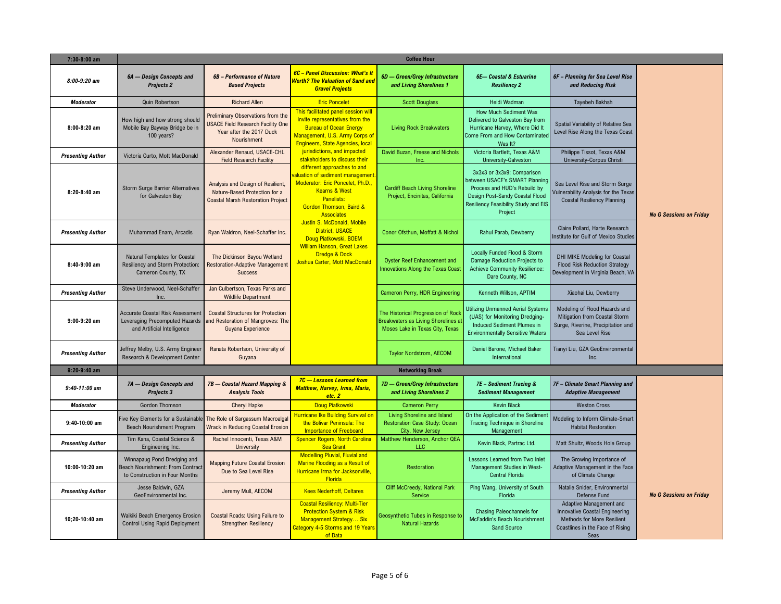| 7:30-8:00 am             |                                                                                                          |                                                                                                                                 |                                                                                                                                                                                                     | <b>Coffee Hour</b>                                                                                                  |                                                                                                                                                                                    |                                                                                                                                                   |                                |
|--------------------------|----------------------------------------------------------------------------------------------------------|---------------------------------------------------------------------------------------------------------------------------------|-----------------------------------------------------------------------------------------------------------------------------------------------------------------------------------------------------|---------------------------------------------------------------------------------------------------------------------|------------------------------------------------------------------------------------------------------------------------------------------------------------------------------------|---------------------------------------------------------------------------------------------------------------------------------------------------|--------------------------------|
| $8:00-9:20$ am           | 6A - Design Concepts and<br><b>Projects 2</b>                                                            | <b>6B</b> - Performance of Nature<br><b>Based Projects</b>                                                                      | 6C - Panel Discussion: What's It<br>Worth? The Valuation of Sand and<br><b>Gravel Projects</b>                                                                                                      | 6D - Green/Grey Infrastructure<br>and Living Shorelines 1                                                           | <b>6E-Coastal &amp; Estuarine</b><br><b>Resiliency 2</b>                                                                                                                           | 6F - Planning for Sea Level Rise<br>and Reducing Risk                                                                                             |                                |
| <b>Moderator</b>         | <b>Quin Robertson</b>                                                                                    | <b>Richard Allen</b>                                                                                                            | <b>Eric Poncelet</b>                                                                                                                                                                                | <b>Scott Douglass</b>                                                                                               | Heidi Wadman                                                                                                                                                                       | <b>Tayebeh Bakhsh</b>                                                                                                                             |                                |
| $8:00-8:20$ am           | How high and how strong should<br>Mobile Bay Bayway Bridge be in<br>100 years?                           | <b>Preliminary Observations from the</b><br><b>USACE Field Research Facility One</b><br>Year after the 2017 Duck<br>Nourishment | This facilitated panel session will<br>invite representatives from the<br><b>Bureau of Ocean Energy</b><br>Management, U.S. Army Corps of<br><b>Engineers, State Agencies, local</b>                | <b>Living Rock Breakwaters</b>                                                                                      | <b>How Much Sediment Was</b><br>Delivered to Galveston Bay from<br>Hurricane Harvey, Where Did It<br>Come From and How Contaminated<br>Was It?                                     | Spatial Variability of Relative Sea<br>Level Rise Along the Texas Coast                                                                           |                                |
| <b>Presenting Author</b> | Victoria Curto, Mott MacDonald                                                                           | Alexander Renaud, USACE-CHL<br><b>Field Research Facility</b>                                                                   | jurisdictions, and impacted<br>stakeholders to discuss their                                                                                                                                        | David Buzan, Freese and Nichols<br>Inc.                                                                             | Victoria Bartlett, Texas A&M<br>University-Galveston                                                                                                                               | Philippe Tissot, Texas A&M<br>University-Corpus Christi                                                                                           |                                |
| 8:20-8:40 am             | <b>Storm Surge Barrier Alternatives</b><br>for Galveston Bay                                             | Analysis and Design of Resilient,<br>Nature-Based Protection for a<br><b>Coastal Marsh Restoration Project</b>                  | different approaches to and<br>aluation of sediment management<br>Moderator: Eric Poncelet, Ph.D.,<br><b>Kearns &amp; West</b><br><b>Panelists:</b><br>Gordon Thomson, Baird &<br><b>Associates</b> | <b>Cardiff Beach Living Shoreline</b><br>Project, Encinitas, California                                             | 3x3x3 or 3x3x9: Comparison<br>between USACE's SMART Planning<br>Process and HUD's Rebuild by<br>Design Post-Sandy Coastal Flood<br>Resiliency Feasibility Study and EIS<br>Project | Sea Level Rise and Storm Surge<br>Vulnerability Analysis for the Texas<br><b>Coastal Resiliency Planning</b>                                      | <b>No G Sessions on Friday</b> |
| <b>Presenting Author</b> | Muhammad Enam, Arcadis                                                                                   | Ryan Waldron, Neel-Schaffer Inc.                                                                                                | Justin S. McDonald, Mobile<br><b>District, USACE</b><br>Doug Piatkowski, BOEM                                                                                                                       | Conor Ofsthun, Moffatt & Nichol                                                                                     | Rahul Parab, Dewberry                                                                                                                                                              | Claire Pollard, Harte Research<br>Institute for Gulf of Mexico Studies                                                                            |                                |
| $8:40-9:00$ am           | Natural Templates for Coastal<br>Resiliency and Storm Protection:<br>Cameron County, TX                  | The Dickinson Bayou Wetland<br><b>Restoration-Adaptive Management</b><br><b>Success</b>                                         | <b>William Hanson, Great Lakes</b><br><b>Dredge &amp; Dock</b><br>Joshua Carter, Mott MacDonald                                                                                                     | Oyster Reef Enhancement and<br><b>Innovations Along the Texas Coast</b>                                             | Locally Funded Flood & Storm<br>Damage Reduction Projects to<br>Achieve Community Resilience:<br>Dare County, NC                                                                   | DHI MIKE Modeling for Coastal<br><b>Flood Risk Reduction Strategy</b><br>Development in Virginia Beach, VA                                        |                                |
| <b>Presenting Author</b> | Steve Underwood, Neel-Schaffer<br>Inc.                                                                   | Jan Culbertson, Texas Parks and<br><b>Wildlife Department</b>                                                                   |                                                                                                                                                                                                     | Cameron Perry, HDR Engineering                                                                                      | Kenneth Willson, APTIM                                                                                                                                                             | Xiaohai Liu, Dewberry                                                                                                                             |                                |
| $9:00-9:20$ am           | <b>Accurate Coastal Risk Assessment</b><br>Leveraging Precomputed Hazards<br>and Artificial Intelligence | <b>Coastal Structures for Protection</b><br>and Restoration of Mangroves: The<br>Guyana Experience                              |                                                                                                                                                                                                     | The Historical Progression of Rock<br><b>Breakwaters as Living Shorelines at</b><br>Moses Lake in Texas City, Texas | <b>Utilizing Unmanned Aerial Systems</b><br>(UAS) for Monitoring Dredging-<br>Induced Sediment Plumes in<br><b>Environmentally Sensitive Waters</b>                                | Modeling of Flood Hazards and<br>Mitigation from Coastal Storm<br>Surge, Riverine, Precipitation and<br>Sea Level Rise                            |                                |
| <b>Presenting Author</b> | Jeffrey Melby, U.S. Army Engineer<br>Research & Development Center                                       | Ranata Robertson, University of<br>Guyana                                                                                       |                                                                                                                                                                                                     | Taylor Nordstrom, AECOM                                                                                             | Daniel Barone, Michael Baker<br>International                                                                                                                                      | Tianyi Liu, GZA GeoEnvironmental<br>Inc.                                                                                                          |                                |
| $9:20-9:40$ am           |                                                                                                          |                                                                                                                                 |                                                                                                                                                                                                     | <b>Networking Break</b>                                                                                             |                                                                                                                                                                                    |                                                                                                                                                   |                                |
| $9:40-11:00$ am          | 7A - Design Concepts and<br>Projects 3                                                                   | 7B - Coastal Hazard Mapping &<br><b>Analysis Tools</b>                                                                          | 7C - Lessons Learned from<br>Matthew, Harvey, Irma, Maria,<br>etc. 2                                                                                                                                | 7D - Green/Grey Infrastructure<br>and Living Shorelines 2                                                           | 7E - Sediment Tracing &<br><b>Sediment Management</b>                                                                                                                              | 7F - Climate Smart Planning and<br><b>Adaptive Management</b>                                                                                     |                                |
| <b>Moderator</b>         | <b>Gordon Thomson</b>                                                                                    | <b>Cheryl Hapke</b>                                                                                                             | Doug Piatkowski                                                                                                                                                                                     | <b>Cameron Perry</b>                                                                                                | <b>Kevin Black</b>                                                                                                                                                                 | <b>Weston Cross</b>                                                                                                                               |                                |
| $9:40-10:00$ am          | Five Key Elements for a Sustainable<br><b>Beach Nourishment Program</b>                                  | The Role of Sargassum Macroalgal<br><b>Wrack in Reducing Coastal Erosion</b>                                                    | Hurricane Ike Building Survival on<br>the Bolivar Peninsula: The<br>Importance of Freeboard                                                                                                         | Living Shoreline and Island<br><b>Restoration Case Study: Ocean</b><br>City, New Jersey                             | On the Application of the Sedimer<br><b>Tracing Technique in Shoreline</b><br>Management                                                                                           | Modeling to Inform Climate-Smart<br><b>Habitat Restoration</b>                                                                                    |                                |
| <b>Presenting Author</b> | Tim Kana, Coastal Science &<br>Engineering Inc.                                                          | Rachel Innocenti, Texas A&M<br>University                                                                                       | <b>Spencer Rogers, North Carolina</b><br><b>Sea Grant</b>                                                                                                                                           | Matthew Henderson, Anchor QEA<br>LLC                                                                                | Kevin Black, Partrac Ltd.                                                                                                                                                          | Matt Shultz, Woods Hole Group                                                                                                                     |                                |
| 10:00-10:20 am           | Winnapaug Pond Dredging and<br>Beach Nourishment: From Contract<br>to Construction in Four Months        | <b>Mapping Future Coastal Erosion</b><br>Due to Sea Level Rise                                                                  | <b>Modelling Pluvial, Fluvial and</b><br>Marine Flooding as a Result of<br>Hurricane Irma for Jacksonville,<br>Florida                                                                              | <b>Restoration</b>                                                                                                  | Lessons Learned from Two Inlet<br>Management Studies in West-<br><b>Central Florida</b>                                                                                            | The Growing Importance of<br>Adaptive Management in the Face<br>of Climate Change                                                                 |                                |
| <b>Presenting Author</b> | Jesse Baldwin, GZA<br>GeoEnvironmental Inc.                                                              | Jeremy Mull, AECOM                                                                                                              | <b>Kees Nederhoff, Deltares</b>                                                                                                                                                                     | <b>Cliff McCreedy, National Park</b><br>Service                                                                     | Ping Wang, University of South<br>Florida                                                                                                                                          | Natalie Snider, Environmental<br>Defense Fund                                                                                                     | <b>No G Sessions on Friday</b> |
| 10:20-10:40 am           | Waikiki Beach Emergency Erosion<br><b>Control Using Rapid Deployment</b>                                 | Coastal Roads: Using Failure to<br><b>Strengthen Resiliency</b>                                                                 | <b>Coastal Resiliency: Multi-Tier</b><br><b>Protection System &amp; Risk</b><br>Management Strategy Six<br>Category 4-5 Storms and 19 Years<br>of Data                                              | Geosynthetic Tubes in Response to<br><b>Natural Hazards</b>                                                         | Chasing Paleochannels for<br>McFaddin's Beach Nourishment<br><b>Sand Source</b>                                                                                                    | Adaptive Management and<br><b>Innovative Coastal Engineering</b><br><b>Methods for More Resilient</b><br>Coastlines in the Face of Rising<br>Seas |                                |